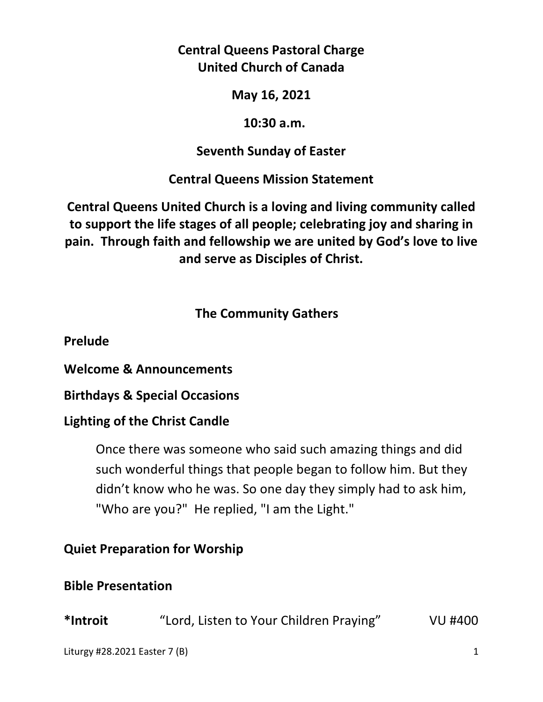# **Central Queens Pastoral Charge United Church of Canada**

## **May 16, 2021**

## **10:30 a.m.**

## **Seventh Sunday of Easter**

# **Central Queens Mission Statement**

**Central Queens United Church is a loving and living community called to support the life stages of all people; celebrating joy and sharing in pain. Through faith and fellowship we are united by God's love to live and serve as Disciples of Christ.**

# **The Community Gathers**

**Prelude** 

**Welcome & Announcements** 

**Birthdays & Special Occasions** 

# **Lighting of the Christ Candle**

Once there was someone who said such amazing things and did such wonderful things that people began to follow him. But they didn't know who he was. So one day they simply had to ask him, "Who are you?" He replied, "I am the Light."

# **Quiet Preparation for Worship**

# **Bible Presentation**

**\*Introit** "Lord, Listen to Your Children Praying" VU #400

Liturgy #28.2021 Easter 7 (B) 1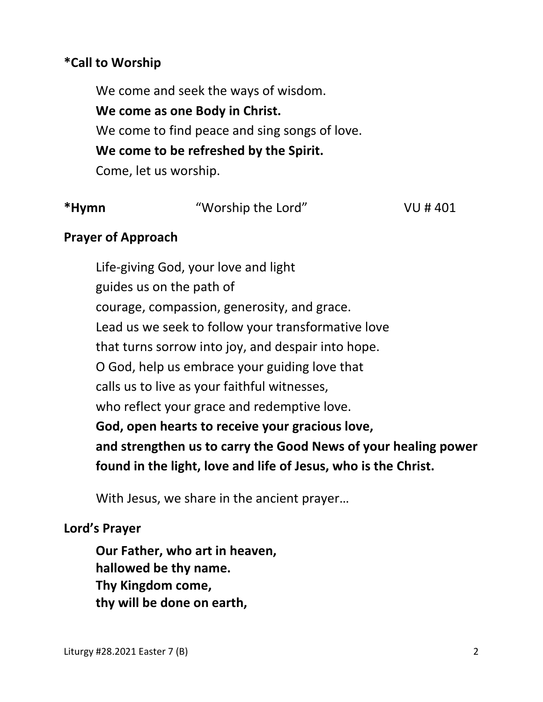# **\*Call to Worship**

We come and seek the ways of wisdom. **We come as one Body in Christ.** We come to find peace and sing songs of love. **We come to be refreshed by the Spirit.** Come, let us worship.

| *Hymn | "Worship the Lord" | VU # 401 |
|-------|--------------------|----------|
|       |                    |          |

#### **Prayer of Approach**

Life-giving God, your love and light guides us on the path of courage, compassion, generosity, and grace. Lead us we seek to follow your transformative love that turns sorrow into joy, and despair into hope. O God, help us embrace your guiding love that calls us to live as your faithful witnesses, who reflect your grace and redemptive love. **God, open hearts to receive your gracious love, and strengthen us to carry the Good News of your healing power found in the light, love and life of Jesus, who is the Christ.**

With Jesus, we share in the ancient prayer…

## **Lord's Prayer**

**Our Father, who art in heaven, hallowed be thy name. Thy Kingdom come, thy will be done on earth,**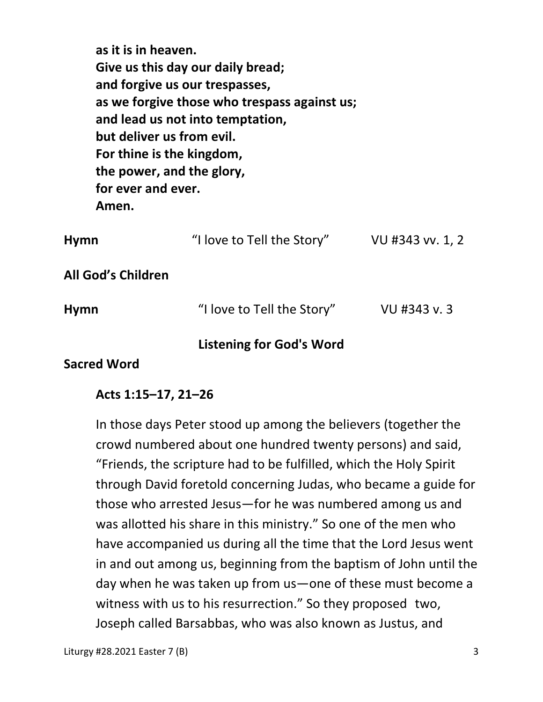| as it is in heaven.<br>but deliver us from evil.<br>for ever and ever.<br>Amen. | Give us this day our daily bread;<br>and forgive us our trespasses,<br>as we forgive those who trespass against us;<br>and lead us not into temptation,<br>For thine is the kingdom,<br>the power, and the glory, |                  |
|---------------------------------------------------------------------------------|-------------------------------------------------------------------------------------------------------------------------------------------------------------------------------------------------------------------|------------------|
| <b>Hymn</b>                                                                     | "I love to Tell the Story"                                                                                                                                                                                        | VU #343 vv. 1, 2 |
| All God's Children                                                              |                                                                                                                                                                                                                   |                  |
| <b>Hymn</b>                                                                     | "I love to Tell the Story"                                                                                                                                                                                        | VU #343 v.3      |
|                                                                                 | <b>Listening for God's Word</b>                                                                                                                                                                                   |                  |

#### **Sacred Word**

### **Acts 1:15–17, 21–26**

In those days Peter stood up among the believers (together the crowd numbered about one hundred twenty persons) and said, "Friends, the scripture had to be fulfilled, which the Holy Spirit through David foretold concerning Judas, who became a guide for those who arrested Jesus—for he was numbered among us and was allotted his share in this ministry." So one of the men who have accompanied us during all the time that the Lord Jesus went in and out among us, beginning from the baptism of John until the day when he was taken up from us—one of these must become a witness with us to his resurrection." So they proposed two, Joseph called Barsabbas, who was also known as Justus, and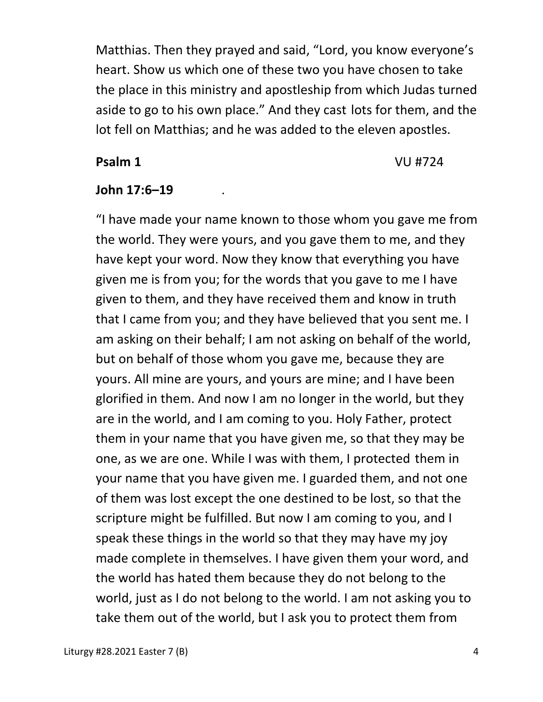Matthias. Then they prayed and said, "Lord, you know everyone's heart. Show us which one of these two you have chosen to take the place in this ministry and apostleship from which Judas turned aside to go to his own place." And they cast lots for them, and the lot fell on Matthias; and he was added to the eleven apostles.

 **Psalm 1** VU #724

## **John 17:6–19** .

"I have made your name known to those whom you gave me from the world. They were yours, and you gave them to me, and they have kept your word. Now they know that everything you have given me is from you; for the words that you gave to me I have given to them, and they have received them and know in truth that I came from you; and they have believed that you sent me. I am asking on their behalf; I am not asking on behalf of the world, but on behalf of those whom you gave me, because they are yours. All mine are yours, and yours are mine; and I have been glorified in them. And now I am no longer in the world, but they are in the world, and I am coming to you. Holy Father, protect them in your name that you have given me, so that they may be one, as we are one. While I was with them, I protected them in your name that you have given me. I guarded them, and not one of them was lost except the one destined to be lost, so that the scripture might be fulfilled. But now I am coming to you, and I speak these things in the world so that they may have my joy made complete in themselves. I have given them your word, and the world has hated them because they do not belong to the world, just as I do not belong to the world. I am not asking you to take them out of the world, but I ask you to protect them from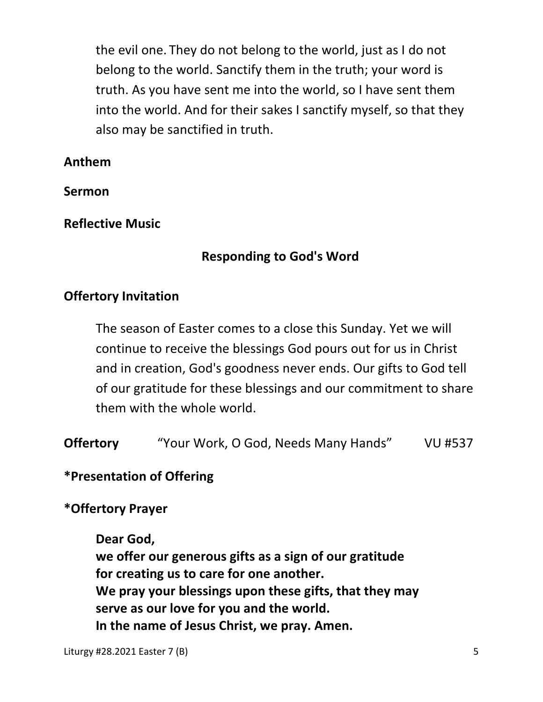the evil one. They do not belong to the world, just as I do not belong to the world. Sanctify them in the truth; your word is truth. As you have sent me into the world, so I have sent them into the world. And for their sakes I sanctify myself, so that they also may be sanctified in truth.

## **Anthem**

**Sermon** 

**Reflective Music** 

## **Responding to God's Word**

## **Offertory Invitation**

The season of Easter comes to a close this Sunday. Yet we will continue to receive the blessings God pours out for us in Christ and in creation, God's goodness never ends. Our gifts to God tell of our gratitude for these blessings and our commitment to share them with the whole world.

**Offertory** "Your Work, O God, Needs Many Hands" VU #537

## **\*Presentation of Offering**

**\*Offertory Prayer** 

**Dear God, we offer our generous gifts as a sign of our gratitude for creating us to care for one another. We pray your blessings upon these gifts, that they may serve as our love for you and the world. In the name of Jesus Christ, we pray. Amen.**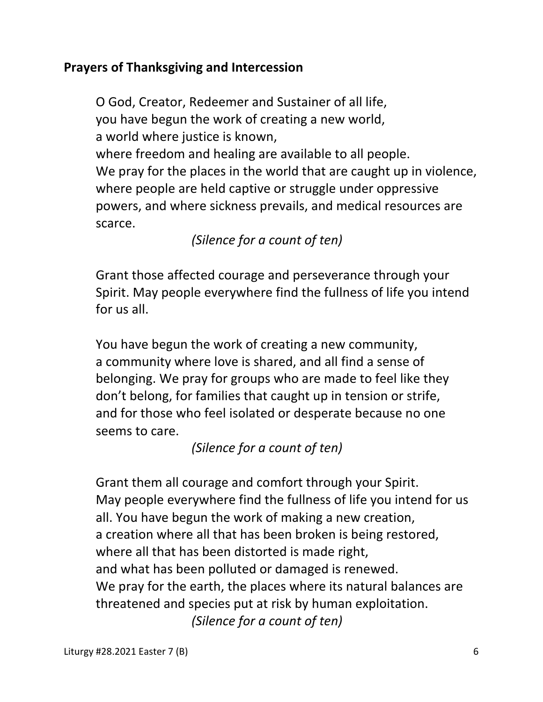## **Prayers of Thanksgiving and Intercession**

O God, Creator, Redeemer and Sustainer of all life, you have begun the work of creating a new world, a world where justice is known, where freedom and healing are available to all people. We pray for the places in the world that are caught up in violence, where people are held captive or struggle under oppressive powers, and where sickness prevails, and medical resources are scarce.

 *(Silence for a count of ten)* 

 Grant those affected courage and perseverance through your Spirit. May people everywhere find the fullness of life you intend for us all.

 You have begun the work of creating a new community, a community where love is shared, and all find a sense of belonging. We pray for groups who are made to feel like they don't belong, for families that caught up in tension or strife, and for those who feel isolated or desperate because no one seems to care.

 *(Silence for a count of ten)* 

 Grant them all courage and comfort through your Spirit. May people everywhere find the fullness of life you intend for us all. You have begun the work of making a new creation, a creation where all that has been broken is being restored, where all that has been distorted is made right, and what has been polluted or damaged is renewed. We pray for the earth, the places where its natural balances are threatened and species put at risk by human exploitation.  *(Silence for a count of ten)*